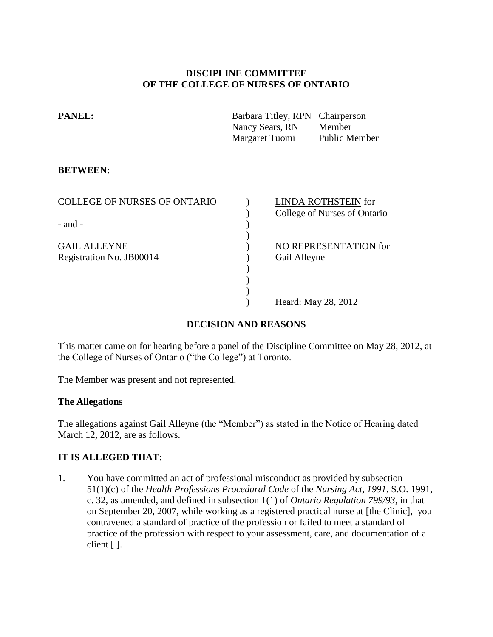# **DISCIPLINE COMMITTEE OF THE COLLEGE OF NURSES OF ONTARIO**

| <b>PANEL:</b> | Barbara Titley, RPN Chairperson |                      |
|---------------|---------------------------------|----------------------|
|               | Nancy Sears, RN                 | Member               |
|               | Margaret Tuomi                  | <b>Public Member</b> |
|               |                                 |                      |

## **BETWEEN:**

| <b>COLLEGE OF NURSES OF ONTARIO</b> | <b>LINDA ROTHSTEIN for</b>   |
|-------------------------------------|------------------------------|
|                                     | College of Nurses of Ontario |
| $-$ and $-$                         |                              |
|                                     |                              |
| <b>GAIL ALLEYNE</b>                 | NO REPRESENTATION for        |
| Registration No. JB00014            | Gail Alleyne                 |
|                                     |                              |
|                                     |                              |
|                                     |                              |
|                                     | Heard: May 28, 2012          |

# **DECISION AND REASONS**

This matter came on for hearing before a panel of the Discipline Committee on May 28, 2012, at the College of Nurses of Ontario ("the College") at Toronto.

The Member was present and not represented.

## **The Allegations**

The allegations against Gail Alleyne (the "Member") as stated in the Notice of Hearing dated March 12, 2012, are as follows.

# **IT IS ALLEGED THAT:**

1. You have committed an act of professional misconduct as provided by subsection 51(1)(c) of the *Health Professions Procedural Code* of the *Nursing Act, 1991*, S.O. 1991, c. 32, as amended, and defined in subsection 1(1) of *Ontario Regulation 799/93*, in that on September 20, 2007, while working as a registered practical nurse at [the Clinic], you contravened a standard of practice of the profession or failed to meet a standard of practice of the profession with respect to your assessment, care, and documentation of a client [ ].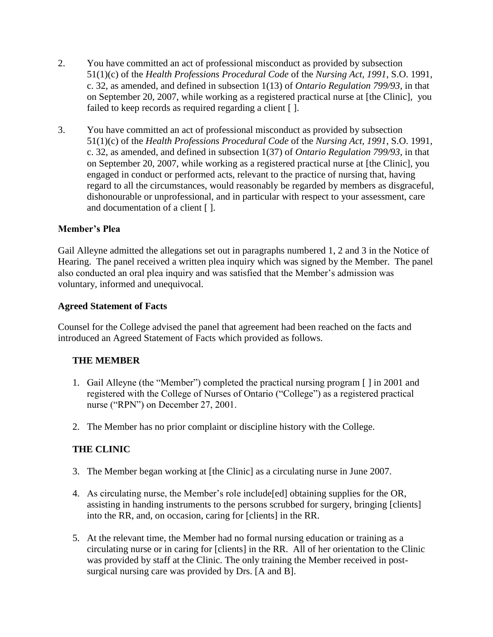- 2. You have committed an act of professional misconduct as provided by subsection 51(1)(c) of the *Health Professions Procedural Code* of the *Nursing Act, 1991*, S.O. 1991, c. 32, as amended, and defined in subsection 1(13) of *Ontario Regulation 799/93*, in that on September 20, 2007, while working as a registered practical nurse at [the Clinic], you failed to keep records as required regarding a client [ ].
- 3. You have committed an act of professional misconduct as provided by subsection 51(1)(c) of the *Health Professions Procedural Code* of the *Nursing Act, 1991*, S.O. 1991, c. 32, as amended, and defined in subsection 1(37) of *Ontario Regulation 799/93*, in that on September 20, 2007, while working as a registered practical nurse at [the Clinic], you engaged in conduct or performed acts, relevant to the practice of nursing that, having regard to all the circumstances, would reasonably be regarded by members as disgraceful, dishonourable or unprofessional, and in particular with respect to your assessment, care and documentation of a client [ ].

# **Member's Plea**

Gail Alleyne admitted the allegations set out in paragraphs numbered 1, 2 and 3 in the Notice of Hearing. The panel received a written plea inquiry which was signed by the Member. The panel also conducted an oral plea inquiry and was satisfied that the Member's admission was voluntary, informed and unequivocal.

# **Agreed Statement of Facts**

Counsel for the College advised the panel that agreement had been reached on the facts and introduced an Agreed Statement of Facts which provided as follows.

# **THE MEMBER**

- 1. Gail Alleyne (the "Member") completed the practical nursing program [ ] in 2001 and registered with the College of Nurses of Ontario ("College") as a registered practical nurse ("RPN") on December 27, 2001.
- 2. The Member has no prior complaint or discipline history with the College.

# **THE CLINIC**

- 3. The Member began working at [the Clinic] as a circulating nurse in June 2007.
- 4. As circulating nurse, the Member's role include[ed] obtaining supplies for the OR, assisting in handing instruments to the persons scrubbed for surgery, bringing [clients] into the RR, and, on occasion, caring for [clients] in the RR.
- 5. At the relevant time, the Member had no formal nursing education or training as a circulating nurse or in caring for [clients] in the RR. All of her orientation to the Clinic was provided by staff at the Clinic. The only training the Member received in postsurgical nursing care was provided by Drs. [A and B].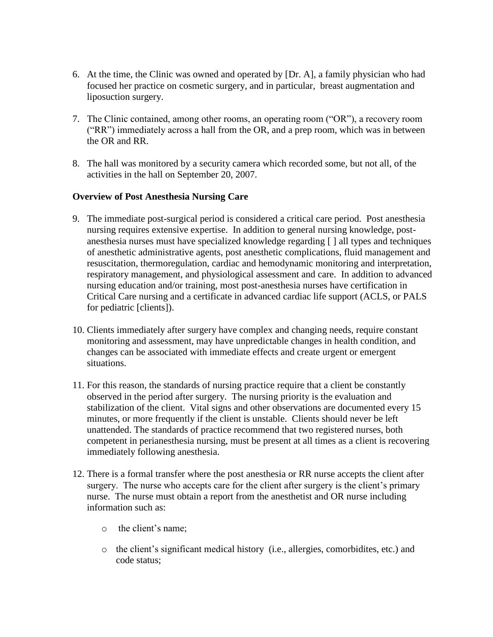- 6. At the time, the Clinic was owned and operated by [Dr. A], a family physician who had focused her practice on cosmetic surgery, and in particular, breast augmentation and liposuction surgery.
- 7. The Clinic contained, among other rooms, an operating room ("OR"), a recovery room ("RR") immediately across a hall from the OR, and a prep room, which was in between the OR and RR.
- 8. The hall was monitored by a security camera which recorded some, but not all, of the activities in the hall on September 20, 2007.

## **Overview of Post Anesthesia Nursing Care**

- 9. The immediate post-surgical period is considered a critical care period. Post anesthesia nursing requires extensive expertise. In addition to general nursing knowledge, postanesthesia nurses must have specialized knowledge regarding [ ] all types and techniques of anesthetic administrative agents, post anesthetic complications, fluid management and resuscitation, thermoregulation, cardiac and hemodynamic monitoring and interpretation, respiratory management, and physiological assessment and care. In addition to advanced nursing education and/or training, most post-anesthesia nurses have certification in Critical Care nursing and a certificate in advanced cardiac life support (ACLS, or PALS for pediatric [clients]).
- 10. Clients immediately after surgery have complex and changing needs, require constant monitoring and assessment, may have unpredictable changes in health condition, and changes can be associated with immediate effects and create urgent or emergent situations.
- 11. For this reason, the standards of nursing practice require that a client be constantly observed in the period after surgery. The nursing priority is the evaluation and stabilization of the client. Vital signs and other observations are documented every 15 minutes, or more frequently if the client is unstable. Clients should never be left unattended. The standards of practice recommend that two registered nurses, both competent in perianesthesia nursing, must be present at all times as a client is recovering immediately following anesthesia.
- 12. There is a formal transfer where the post anesthesia or RR nurse accepts the client after surgery. The nurse who accepts care for the client after surgery is the client's primary nurse. The nurse must obtain a report from the anesthetist and OR nurse including information such as:
	- o the client's name;
	- o the client's significant medical history (i.e., allergies, comorbidites, etc.) and code status;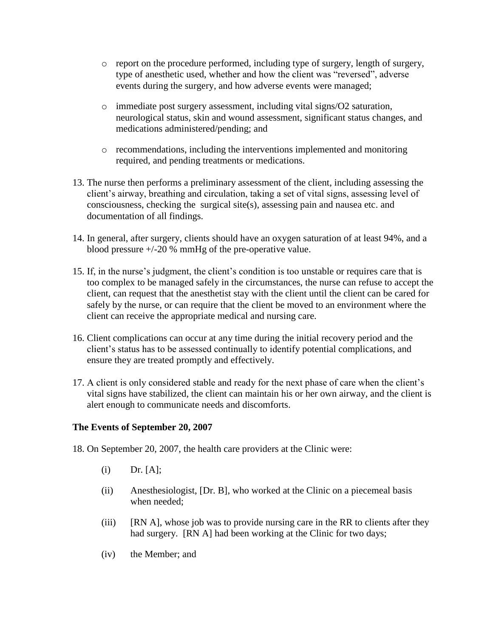- o report on the procedure performed, including type of surgery, length of surgery, type of anesthetic used, whether and how the client was "reversed", adverse events during the surgery, and how adverse events were managed;
- o immediate post surgery assessment, including vital signs/O2 saturation, neurological status, skin and wound assessment, significant status changes, and medications administered/pending; and
- o recommendations, including the interventions implemented and monitoring required, and pending treatments or medications.
- 13. The nurse then performs a preliminary assessment of the client, including assessing the client's airway, breathing and circulation, taking a set of vital signs, assessing level of consciousness, checking the surgical site(s), assessing pain and nausea etc. and documentation of all findings.
- 14. In general, after surgery, clients should have an oxygen saturation of at least 94%, and a blood pressure +/-20 % mmHg of the pre-operative value.
- 15. If, in the nurse's judgment, the client's condition is too unstable or requires care that is too complex to be managed safely in the circumstances, the nurse can refuse to accept the client, can request that the anesthetist stay with the client until the client can be cared for safely by the nurse, or can require that the client be moved to an environment where the client can receive the appropriate medical and nursing care.
- 16. Client complications can occur at any time during the initial recovery period and the client's status has to be assessed continually to identify potential complications, and ensure they are treated promptly and effectively.
- 17. A client is only considered stable and ready for the next phase of care when the client's vital signs have stabilized, the client can maintain his or her own airway, and the client is alert enough to communicate needs and discomforts.

# **The Events of September 20, 2007**

- 18. On September 20, 2007, the health care providers at the Clinic were:
	- $(i)$  Dr.  $[A]$ ;
	- (ii) Anesthesiologist, [Dr. B], who worked at the Clinic on a piecemeal basis when needed;
	- (iii) [RN A], whose job was to provide nursing care in the RR to clients after they had surgery. [RN A] had been working at the Clinic for two days;
	- (iv) the Member; and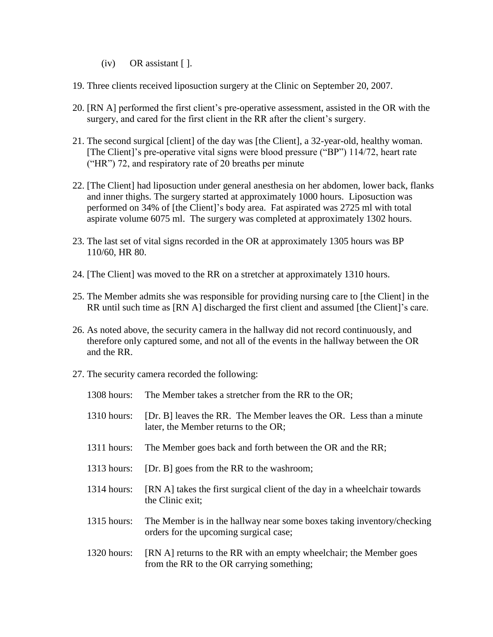- $(iv)$  OR assistant [ ].
- 19. Three clients received liposuction surgery at the Clinic on September 20, 2007.
- 20. [RN A] performed the first client's pre-operative assessment, assisted in the OR with the surgery, and cared for the first client in the RR after the client's surgery.
- 21. The second surgical [client] of the day was [the Client], a 32-year-old, healthy woman. [The Client]'s pre-operative vital signs were blood pressure ("BP") 114/72, heart rate ("HR") 72, and respiratory rate of 20 breaths per minute
- 22. [The Client] had liposuction under general anesthesia on her abdomen, lower back, flanks and inner thighs. The surgery started at approximately 1000 hours. Liposuction was performed on 34% of [the Client]'s body area. Fat aspirated was 2725 ml with total aspirate volume 6075 ml. The surgery was completed at approximately 1302 hours.
- 23. The last set of vital signs recorded in the OR at approximately 1305 hours was BP 110/60, HR 80.
- 24. [The Client] was moved to the RR on a stretcher at approximately 1310 hours.
- 25. The Member admits she was responsible for providing nursing care to [the Client] in the RR until such time as [RN A] discharged the first client and assumed [the Client]'s care.
- 26. As noted above, the security camera in the hallway did not record continuously, and therefore only captured some, and not all of the events in the hallway between the OR and the RR.
- 27. The security camera recorded the following:

| $1308$ hours: | The Member takes a stretcher from the RR to the OR;                                                              |
|---------------|------------------------------------------------------------------------------------------------------------------|
| $1310$ hours: | [Dr. B] leaves the RR. The Member leaves the OR. Less than a minute<br>later, the Member returns to the OR;      |
| $1311$ hours: | The Member goes back and forth between the OR and the RR;                                                        |
| $1313$ hours: | [Dr. B] goes from the RR to the washroom;                                                                        |
| $1314$ hours: | [RN A] takes the first surgical client of the day in a wheelchair towards<br>the Clinic exit;                    |
| $1315$ hours: | The Member is in the hallway near some boxes taking inventory/checking<br>orders for the upcoming surgical case; |
| $1320$ hours: | [RN A] returns to the RR with an empty wheelchair; the Member goes<br>from the RR to the OR carrying something;  |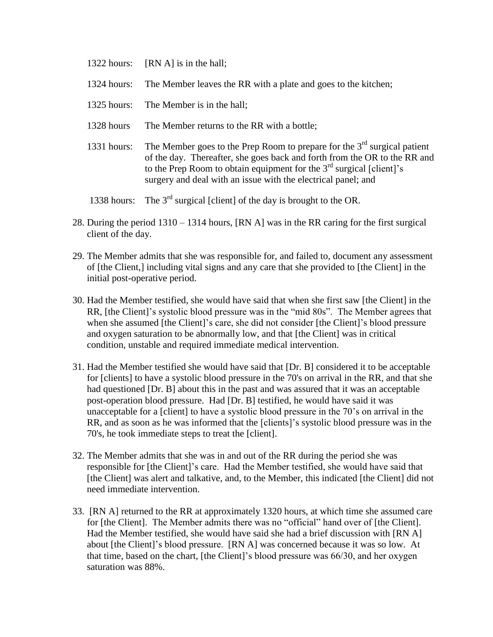- 1322 hours: [RN A] is in the hall;
- 1324 hours: The Member leaves the RR with a plate and goes to the kitchen;
- 1325 hours: The Member is in the hall;
- 1328 hours The Member returns to the RR with a bottle;
- 1331 hours: The Member goes to the Prep Room to prepare for the  $3<sup>rd</sup>$  surgical patient of the day. Thereafter, she goes back and forth from the OR to the RR and to the Prep Room to obtain equipment for the  $3<sup>rd</sup>$  surgical [client]'s surgery and deal with an issue with the electrical panel; and
- 1338 hours: The  $3<sup>rd</sup>$  surgical [client] of the day is brought to the OR.
- 28. During the period 1310 1314 hours, [RN A] was in the RR caring for the first surgical client of the day.
- 29. The Member admits that she was responsible for, and failed to, document any assessment of [the Client,] including vital signs and any care that she provided to [the Client] in the initial post-operative period.
- 30. Had the Member testified, she would have said that when she first saw [the Client] in the RR, [the Client]'s systolic blood pressure was in the "mid 80s". The Member agrees that when she assumed [the Client]'s care, she did not consider [the Client]'s blood pressure and oxygen saturation to be abnormally low, and that [the Client] was in critical condition, unstable and required immediate medical intervention.
- 31. Had the Member testified she would have said that [Dr. B] considered it to be acceptable for [clients] to have a systolic blood pressure in the 70's on arrival in the RR, and that she had questioned [Dr. B] about this in the past and was assured that it was an acceptable post-operation blood pressure. Had [Dr. B] testified, he would have said it was unacceptable for a [client] to have a systolic blood pressure in the 70's on arrival in the RR, and as soon as he was informed that the [clients]'s systolic blood pressure was in the 70's, he took immediate steps to treat the [client].
- 32. The Member admits that she was in and out of the RR during the period she was responsible for [the Client]'s care. Had the Member testified, she would have said that [the Client] was alert and talkative, and, to the Member, this indicated [the Client] did not need immediate intervention.
- 33. [RN A] returned to the RR at approximately 1320 hours, at which time she assumed care for [the Client]. The Member admits there was no "official" hand over of [the Client]. Had the Member testified, she would have said she had a brief discussion with [RN A] about [the Client]'s blood pressure. [RN A] was concerned because it was so low. At that time, based on the chart, [the Client]'s blood pressure was 66/30, and her oxygen saturation was 88%.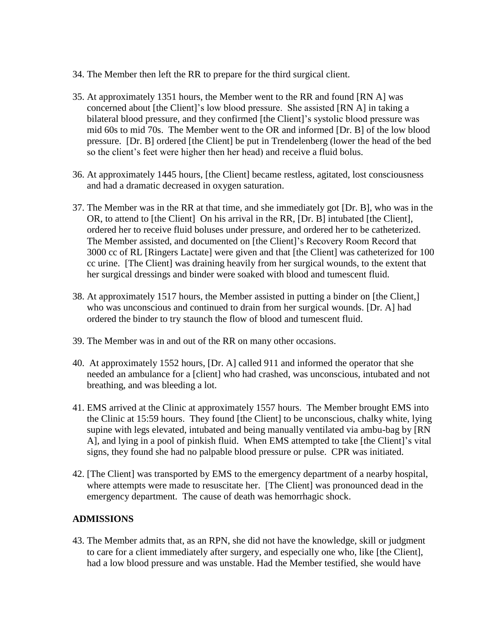- 34. The Member then left the RR to prepare for the third surgical client.
- 35. At approximately 1351 hours, the Member went to the RR and found [RN A] was concerned about [the Client]'s low blood pressure. She assisted [RN A] in taking a bilateral blood pressure, and they confirmed [the Client]'s systolic blood pressure was mid 60s to mid 70s. The Member went to the OR and informed [Dr. B] of the low blood pressure. [Dr. B] ordered [the Client] be put in Trendelenberg (lower the head of the bed so the client's feet were higher then her head) and receive a fluid bolus.
- 36. At approximately 1445 hours, [the Client] became restless, agitated, lost consciousness and had a dramatic decreased in oxygen saturation.
- 37. The Member was in the RR at that time, and she immediately got [Dr. B], who was in the OR, to attend to [the Client] On his arrival in the RR, [Dr. B] intubated [the Client], ordered her to receive fluid boluses under pressure, and ordered her to be catheterized. The Member assisted, and documented on [the Client]'s Recovery Room Record that 3000 cc of RL [Ringers Lactate] were given and that [the Client] was catheterized for 100 cc urine. [The Client] was draining heavily from her surgical wounds, to the extent that her surgical dressings and binder were soaked with blood and tumescent fluid.
- 38. At approximately 1517 hours, the Member assisted in putting a binder on [the Client,] who was unconscious and continued to drain from her surgical wounds. [Dr. A] had ordered the binder to try staunch the flow of blood and tumescent fluid.
- 39. The Member was in and out of the RR on many other occasions.
- 40. At approximately 1552 hours, [Dr. A] called 911 and informed the operator that she needed an ambulance for a [client] who had crashed, was unconscious, intubated and not breathing, and was bleeding a lot.
- 41. EMS arrived at the Clinic at approximately 1557 hours. The Member brought EMS into the Clinic at 15:59 hours. They found [the Client] to be unconscious, chalky white, lying supine with legs elevated, intubated and being manually ventilated via ambu-bag by [RN A], and lying in a pool of pinkish fluid. When EMS attempted to take [the Client]'s vital signs, they found she had no palpable blood pressure or pulse. CPR was initiated.
- 42. [The Client] was transported by EMS to the emergency department of a nearby hospital, where attempts were made to resuscitate her. [The Client] was pronounced dead in the emergency department. The cause of death was hemorrhagic shock.

## **ADMISSIONS**

43. The Member admits that, as an RPN, she did not have the knowledge, skill or judgment to care for a client immediately after surgery, and especially one who, like [the Client], had a low blood pressure and was unstable. Had the Member testified, she would have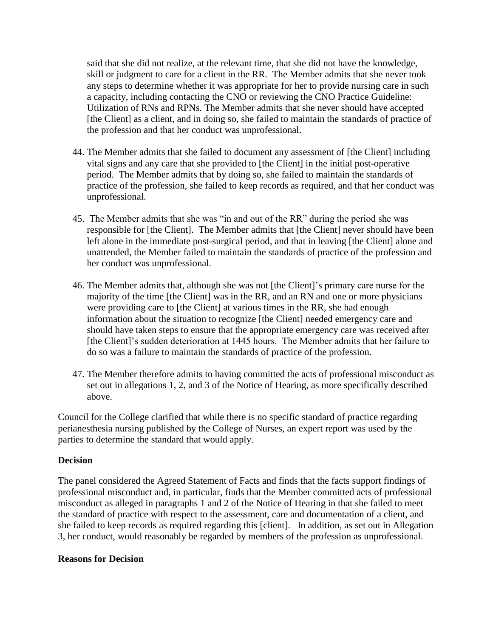said that she did not realize, at the relevant time, that she did not have the knowledge, skill or judgment to care for a client in the RR. The Member admits that she never took any steps to determine whether it was appropriate for her to provide nursing care in such a capacity, including contacting the CNO or reviewing the CNO Practice Guideline: Utilization of RNs and RPNs. The Member admits that she never should have accepted [the Client] as a client, and in doing so, she failed to maintain the standards of practice of the profession and that her conduct was unprofessional.

- 44. The Member admits that she failed to document any assessment of [the Client] including vital signs and any care that she provided to [the Client] in the initial post-operative period. The Member admits that by doing so, she failed to maintain the standards of practice of the profession, she failed to keep records as required, and that her conduct was unprofessional.
- 45. The Member admits that she was "in and out of the RR" during the period she was responsible for [the Client]. The Member admits that [the Client] never should have been left alone in the immediate post-surgical period, and that in leaving [the Client] alone and unattended, the Member failed to maintain the standards of practice of the profession and her conduct was unprofessional.
- 46. The Member admits that, although she was not [the Client]'s primary care nurse for the majority of the time [the Client] was in the RR, and an RN and one or more physicians were providing care to [the Client] at various times in the RR, she had enough information about the situation to recognize [the Client] needed emergency care and should have taken steps to ensure that the appropriate emergency care was received after [the Client]'s sudden deterioration at 1445 hours. The Member admits that her failure to do so was a failure to maintain the standards of practice of the profession.
- 47. The Member therefore admits to having committed the acts of professional misconduct as set out in allegations 1, 2, and 3 of the Notice of Hearing, as more specifically described above.

Council for the College clarified that while there is no specific standard of practice regarding perianesthesia nursing published by the College of Nurses, an expert report was used by the parties to determine the standard that would apply.

## **Decision**

The panel considered the Agreed Statement of Facts and finds that the facts support findings of professional misconduct and, in particular, finds that the Member committed acts of professional misconduct as alleged in paragraphs 1 and 2 of the Notice of Hearing in that she failed to meet the standard of practice with respect to the assessment, care and documentation of a client, and she failed to keep records as required regarding this [client]. In addition, as set out in Allegation 3, her conduct, would reasonably be regarded by members of the profession as unprofessional.

## **Reasons for Decision**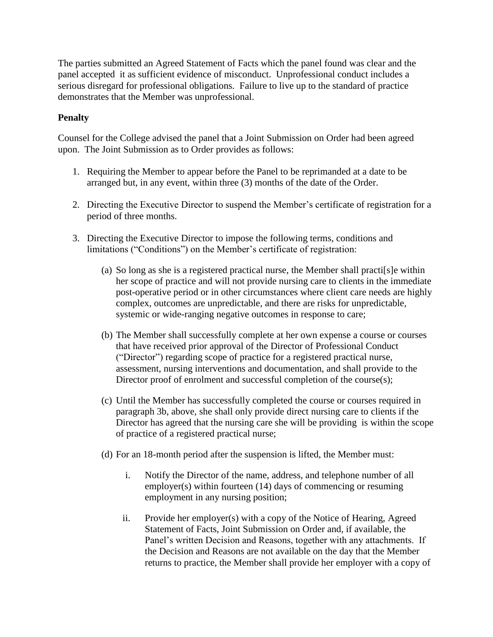The parties submitted an Agreed Statement of Facts which the panel found was clear and the panel accepted it as sufficient evidence of misconduct. Unprofessional conduct includes a serious disregard for professional obligations. Failure to live up to the standard of practice demonstrates that the Member was unprofessional.

# **Penalty**

Counsel for the College advised the panel that a Joint Submission on Order had been agreed upon. The Joint Submission as to Order provides as follows:

- 1. Requiring the Member to appear before the Panel to be reprimanded at a date to be arranged but, in any event, within three (3) months of the date of the Order.
- 2. Directing the Executive Director to suspend the Member's certificate of registration for a period of three months.
- 3. Directing the Executive Director to impose the following terms, conditions and limitations ("Conditions") on the Member's certificate of registration:
	- (a) So long as she is a registered practical nurse, the Member shall practi[s]e within her scope of practice and will not provide nursing care to clients in the immediate post-operative period or in other circumstances where client care needs are highly complex, outcomes are unpredictable, and there are risks for unpredictable, systemic or wide-ranging negative outcomes in response to care;
	- (b) The Member shall successfully complete at her own expense a course or courses that have received prior approval of the Director of Professional Conduct ("Director") regarding scope of practice for a registered practical nurse, assessment, nursing interventions and documentation, and shall provide to the Director proof of enrolment and successful completion of the course(s);
	- (c) Until the Member has successfully completed the course or courses required in paragraph 3b, above, she shall only provide direct nursing care to clients if the Director has agreed that the nursing care she will be providing is within the scope of practice of a registered practical nurse;
	- (d) For an 18-month period after the suspension is lifted, the Member must:
		- i. Notify the Director of the name, address, and telephone number of all employer(s) within fourteen (14) days of commencing or resuming employment in any nursing position;
		- ii. Provide her employer(s) with a copy of the Notice of Hearing, Agreed Statement of Facts, Joint Submission on Order and, if available, the Panel's written Decision and Reasons, together with any attachments. If the Decision and Reasons are not available on the day that the Member returns to practice, the Member shall provide her employer with a copy of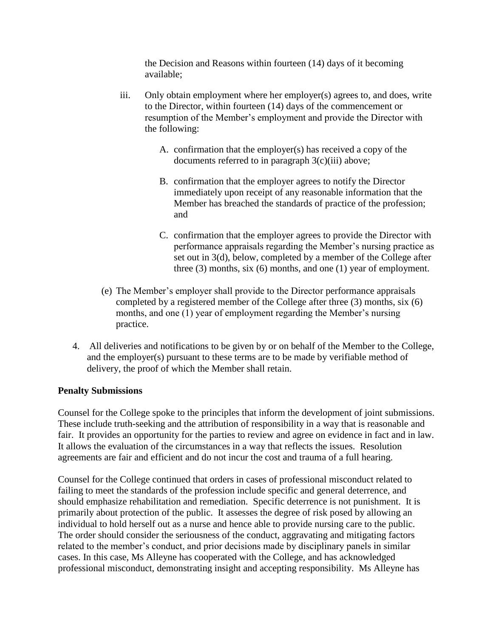the Decision and Reasons within fourteen (14) days of it becoming available;

- iii. Only obtain employment where her employer(s) agrees to, and does, write to the Director, within fourteen (14) days of the commencement or resumption of the Member's employment and provide the Director with the following:
	- A. confirmation that the employer(s) has received a copy of the documents referred to in paragraph 3(c)(iii) above;
	- B. confirmation that the employer agrees to notify the Director immediately upon receipt of any reasonable information that the Member has breached the standards of practice of the profession; and
	- C. confirmation that the employer agrees to provide the Director with performance appraisals regarding the Member's nursing practice as set out in 3(d), below, completed by a member of the College after three (3) months, six (6) months, and one (1) year of employment.
- (e) The Member's employer shall provide to the Director performance appraisals completed by a registered member of the College after three (3) months, six (6) months, and one (1) year of employment regarding the Member's nursing practice.
- 4. All deliveries and notifications to be given by or on behalf of the Member to the College, and the employer(s) pursuant to these terms are to be made by verifiable method of delivery, the proof of which the Member shall retain.

# **Penalty Submissions**

Counsel for the College spoke to the principles that inform the development of joint submissions. These include truth-seeking and the attribution of responsibility in a way that is reasonable and fair. It provides an opportunity for the parties to review and agree on evidence in fact and in law. It allows the evaluation of the circumstances in a way that reflects the issues. Resolution agreements are fair and efficient and do not incur the cost and trauma of a full hearing.

Counsel for the College continued that orders in cases of professional misconduct related to failing to meet the standards of the profession include specific and general deterrence, and should emphasize rehabilitation and remediation. Specific deterrence is not punishment. It is primarily about protection of the public. It assesses the degree of risk posed by allowing an individual to hold herself out as a nurse and hence able to provide nursing care to the public. The order should consider the seriousness of the conduct, aggravating and mitigating factors related to the member's conduct, and prior decisions made by disciplinary panels in similar cases. In this case, Ms Alleyne has cooperated with the College, and has acknowledged professional misconduct, demonstrating insight and accepting responsibility. Ms Alleyne has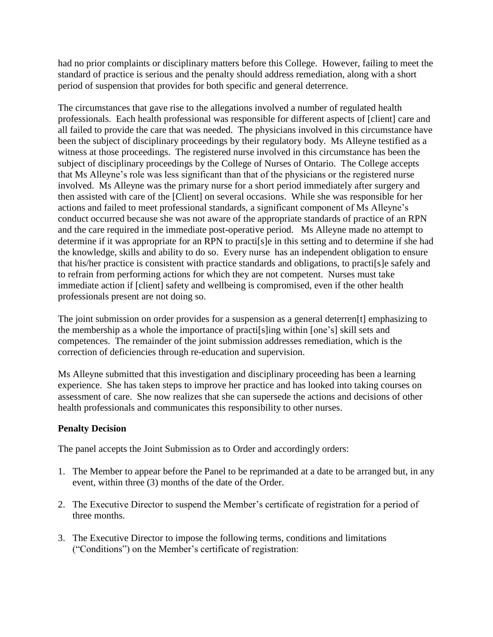had no prior complaints or disciplinary matters before this College. However, failing to meet the standard of practice is serious and the penalty should address remediation, along with a short period of suspension that provides for both specific and general deterrence.

The circumstances that gave rise to the allegations involved a number of regulated health professionals. Each health professional was responsible for different aspects of [client] care and all failed to provide the care that was needed. The physicians involved in this circumstance have been the subject of disciplinary proceedings by their regulatory body. Ms Alleyne testified as a witness at those proceedings. The registered nurse involved in this circumstance has been the subject of disciplinary proceedings by the College of Nurses of Ontario. The College accepts that Ms Alleyne's role was less significant than that of the physicians or the registered nurse involved. Ms Alleyne was the primary nurse for a short period immediately after surgery and then assisted with care of the [Client] on several occasions. While she was responsible for her actions and failed to meet professional standards, a significant component of Ms Alleyne's conduct occurred because she was not aware of the appropriate standards of practice of an RPN and the care required in the immediate post-operative period. Ms Alleyne made no attempt to determine if it was appropriate for an RPN to practi[s]e in this setting and to determine if she had the knowledge, skills and ability to do so. Every nurse has an independent obligation to ensure that his/her practice is consistent with practice standards and obligations, to practi[s]e safely and to refrain from performing actions for which they are not competent. Nurses must take immediate action if [client] safety and wellbeing is compromised, even if the other health professionals present are not doing so.

The joint submission on order provides for a suspension as a general deterren[t] emphasizing to the membership as a whole the importance of practi[s]ing within [one's] skill sets and competences. The remainder of the joint submission addresses remediation, which is the correction of deficiencies through re-education and supervision.

Ms Alleyne submitted that this investigation and disciplinary proceeding has been a learning experience. She has taken steps to improve her practice and has looked into taking courses on assessment of care. She now realizes that she can supersede the actions and decisions of other health professionals and communicates this responsibility to other nurses.

# **Penalty Decision**

The panel accepts the Joint Submission as to Order and accordingly orders:

- 1. The Member to appear before the Panel to be reprimanded at a date to be arranged but, in any event, within three (3) months of the date of the Order.
- 2. The Executive Director to suspend the Member's certificate of registration for a period of three months.
- 3. The Executive Director to impose the following terms, conditions and limitations ("Conditions") on the Member's certificate of registration: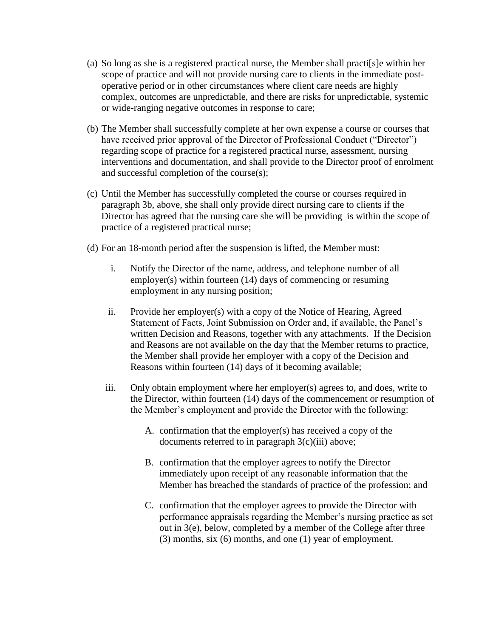- (a) So long as she is a registered practical nurse, the Member shall practi[s]e within her scope of practice and will not provide nursing care to clients in the immediate postoperative period or in other circumstances where client care needs are highly complex, outcomes are unpredictable, and there are risks for unpredictable, systemic or wide-ranging negative outcomes in response to care;
- (b) The Member shall successfully complete at her own expense a course or courses that have received prior approval of the Director of Professional Conduct ("Director") regarding scope of practice for a registered practical nurse, assessment, nursing interventions and documentation, and shall provide to the Director proof of enrolment and successful completion of the course(s);
- (c) Until the Member has successfully completed the course or courses required in paragraph 3b, above, she shall only provide direct nursing care to clients if the Director has agreed that the nursing care she will be providing is within the scope of practice of a registered practical nurse;
- (d) For an 18-month period after the suspension is lifted, the Member must:
	- i. Notify the Director of the name, address, and telephone number of all employer(s) within fourteen (14) days of commencing or resuming employment in any nursing position;
	- ii. Provide her employer(s) with a copy of the Notice of Hearing, Agreed Statement of Facts, Joint Submission on Order and, if available, the Panel's written Decision and Reasons, together with any attachments. If the Decision and Reasons are not available on the day that the Member returns to practice, the Member shall provide her employer with a copy of the Decision and Reasons within fourteen (14) days of it becoming available;
	- iii. Only obtain employment where her employer(s) agrees to, and does, write to the Director, within fourteen (14) days of the commencement or resumption of the Member's employment and provide the Director with the following:
		- A. confirmation that the employer(s) has received a copy of the documents referred to in paragraph 3(c)(iii) above;
		- B. confirmation that the employer agrees to notify the Director immediately upon receipt of any reasonable information that the Member has breached the standards of practice of the profession; and
		- C. confirmation that the employer agrees to provide the Director with performance appraisals regarding the Member's nursing practice as set out in 3(e), below, completed by a member of the College after three (3) months, six (6) months, and one (1) year of employment.